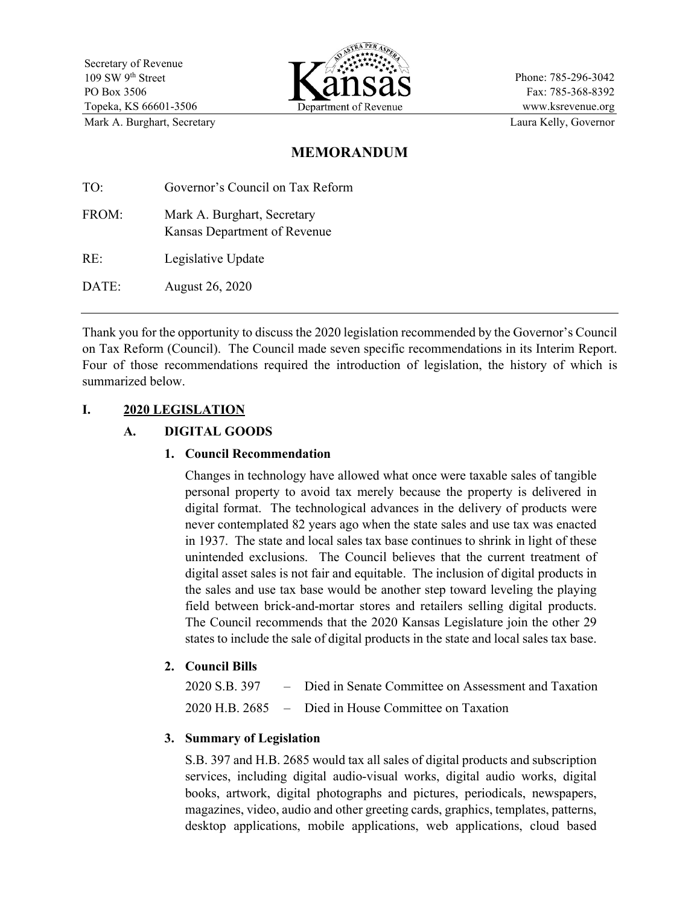

Phone: 785-296-3042 Fax: 785-368-8392 www.ksrevenue.org Mark A. Burghart, Secretary **Laura Kelly, Governor** Laura Kelly, Governor

# **MEMORANDUM**

| TO:   | Governor's Council on Tax Reform                            |
|-------|-------------------------------------------------------------|
| FROM: | Mark A. Burghart, Secretary<br>Kansas Department of Revenue |
| RE:   | Legislative Update                                          |

DATE: August 26, 2020

Thank you for the opportunity to discuss the 2020 legislation recommended by the Governor's Council on Tax Reform (Council). The Council made seven specific recommendations in its Interim Report. Four of those recommendations required the introduction of legislation, the history of which is summarized below.

# **I. 2020 LEGISLATION**

# **A. DIGITAL GOODS**

### **1. Council Recommendation**

Changes in technology have allowed what once were taxable sales of tangible personal property to avoid tax merely because the property is delivered in digital format. The technological advances in the delivery of products were never contemplated 82 years ago when the state sales and use tax was enacted in 1937. The state and local sales tax base continues to shrink in light of these unintended exclusions. The Council believes that the current treatment of digital asset sales is not fair and equitable. The inclusion of digital products in the sales and use tax base would be another step toward leveling the playing field between brick-and-mortar stores and retailers selling digital products. The Council recommends that the 2020 Kansas Legislature join the other 29 states to include the sale of digital products in the state and local sales tax base.

### **2. Council Bills**

|  | 2020 S.B. 397 – Died in Senate Committee on Assessment and Taxation |
|--|---------------------------------------------------------------------|
|  | 2020 H.B. 2685 – Died in House Committee on Taxation                |

### **3. Summary of Legislation**

S.B. 397 and H.B. 2685 would tax all sales of digital products and subscription services, including digital audio-visual works, digital audio works, digital books, artwork, digital photographs and pictures, periodicals, newspapers, magazines, video, audio and other greeting cards, graphics, templates, patterns, desktop applications, mobile applications, web applications, cloud based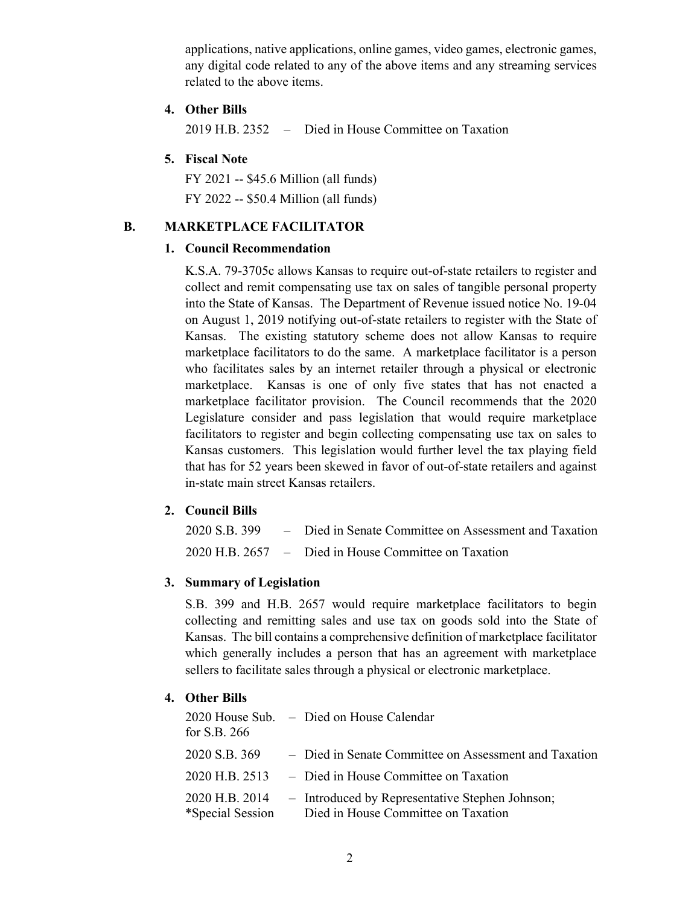applications, native applications, online games, video games, electronic games, any digital code related to any of the above items and any streaming services related to the above items.

#### **4. Other Bills**

2019 H.B. 2352 – Died in House Committee on Taxation

### **5. Fiscal Note**

FY 2021 -- \$45.6 Million (all funds) FY 2022 -- \$50.4 Million (all funds)

## **B. MARKETPLACE FACILITATOR**

#### **1. Council Recommendation**

K.S.A. 79-3705c allows Kansas to require out-of-state retailers to register and collect and remit compensating use tax on sales of tangible personal property into the State of Kansas. The Department of Revenue issued notice No. 19-04 on August 1, 2019 notifying out-of-state retailers to register with the State of Kansas. The existing statutory scheme does not allow Kansas to require marketplace facilitators to do the same. A marketplace facilitator is a person who facilitates sales by an internet retailer through a physical or electronic marketplace. Kansas is one of only five states that has not enacted a marketplace facilitator provision. The Council recommends that the 2020 Legislature consider and pass legislation that would require marketplace facilitators to register and begin collecting compensating use tax on sales to Kansas customers. This legislation would further level the tax playing field that has for 52 years been skewed in favor of out-of-state retailers and against in-state main street Kansas retailers.

### **2. Council Bills**

|  | 2020 S.B. 399 - Died in Senate Committee on Assessment and Taxation |
|--|---------------------------------------------------------------------|
|  | 2020 H.B. 2657 – Died in House Committee on Taxation                |

#### **3. Summary of Legislation**

S.B. 399 and H.B. 2657 would require marketplace facilitators to begin collecting and remitting sales and use tax on goods sold into the State of Kansas. The bill contains a comprehensive definition of marketplace facilitator which generally includes a person that has an agreement with marketplace sellers to facilitate sales through a physical or electronic marketplace.

### **4. Other Bills**

| for S.B. $266$ | 2020 House Sub. - Died on House Calendar                                                                |
|----------------|---------------------------------------------------------------------------------------------------------|
| 2020 S.B. 369  | - Died in Senate Committee on Assessment and Taxation                                                   |
|                | 2020 H.B. 2513 – Died in House Committee on Taxation                                                    |
| 2020 H.B. 2014 | - Introduced by Representative Stephen Johnson;<br>*Special Session Died in House Committee on Taxation |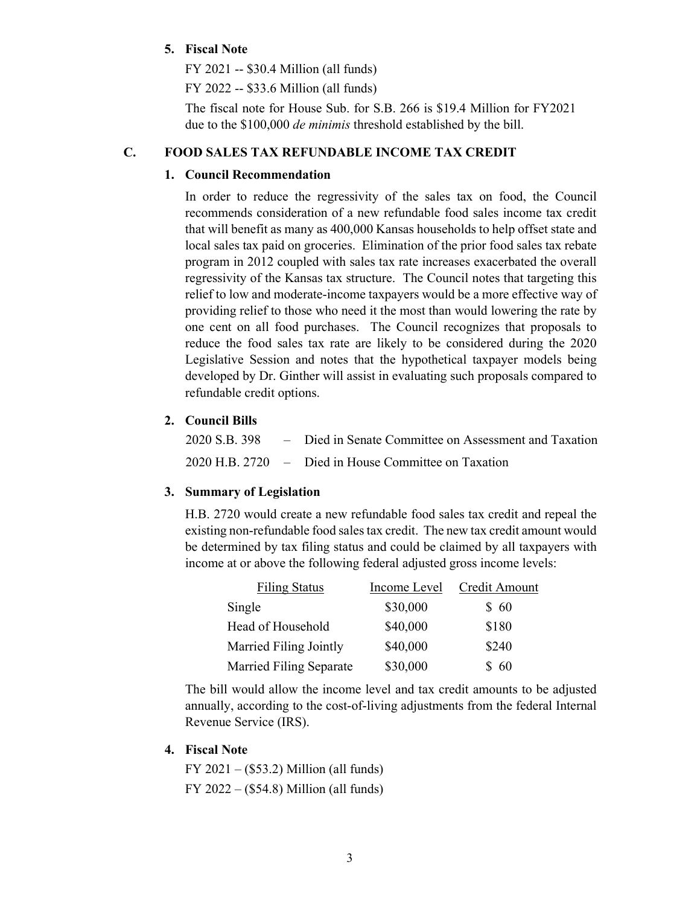### **5. Fiscal Note**

FY 2021 -- \$30.4 Million (all funds)

FY 2022 -- \$33.6 Million (all funds)

The fiscal note for House Sub. for S.B. 266 is \$19.4 Million for FY2021 due to the \$100,000 *de minimis* threshold established by the bill.

### **C. FOOD SALES TAX REFUNDABLE INCOME TAX CREDIT**

### **1. Council Recommendation**

In order to reduce the regressivity of the sales tax on food, the Council recommends consideration of a new refundable food sales income tax credit that will benefit as many as 400,000 Kansas households to help offset state and local sales tax paid on groceries. Elimination of the prior food sales tax rebate program in 2012 coupled with sales tax rate increases exacerbated the overall regressivity of the Kansas tax structure. The Council notes that targeting this relief to low and moderate-income taxpayers would be a more effective way of providing relief to those who need it the most than would lowering the rate by one cent on all food purchases. The Council recognizes that proposals to reduce the food sales tax rate are likely to be considered during the 2020 Legislative Session and notes that the hypothetical taxpayer models being developed by Dr. Ginther will assist in evaluating such proposals compared to refundable credit options.

### **2. Council Bills**

|  | 2020 S.B. 398 – Died in Senate Committee on Assessment and Taxation |
|--|---------------------------------------------------------------------|
|  | 2020 H.B. 2720 – Died in House Committee on Taxation                |

### **3. Summary of Legislation**

H.B. 2720 would create a new refundable food sales tax credit and repeal the existing non-refundable food sales tax credit. The new tax credit amount would be determined by tax filing status and could be claimed by all taxpayers with income at or above the following federal adjusted gross income levels:

| <b>Filing Status</b>    | Income Level | Credit Amount |
|-------------------------|--------------|---------------|
| Single                  | \$30,000     | \$60          |
| Head of Household       | \$40,000     | \$180         |
| Married Filing Jointly  | \$40,000     | \$240         |
| Married Filing Separate | \$30,000     | \$60          |

The bill would allow the income level and tax credit amounts to be adjusted annually, according to the cost-of-living adjustments from the federal Internal Revenue Service (IRS).

#### **4. Fiscal Note**

FY 2021 – (\$53.2) Million (all funds) FY 2022 – (\$54.8) Million (all funds)